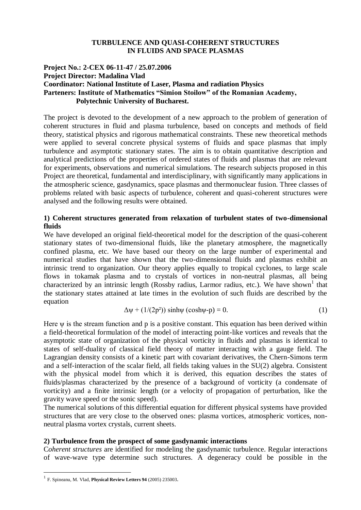#### **TURBULENCE AND QUASI-COHERENT STRUCTURES IN FLUIDS AND SPACE PLASMAS**

# **Project No.: 2-CEX 06-11-47 / 25.07.2006 Project Director: Madalina Vlad Coordinator: National Institute of Laser, Plasma and radiation Physics Parteners: Institute of Mathematics "Simion Stoilow" of the Romanian Academy, Polytechnic University of Bucharest.**

The project is devoted to the development of a new approach to the problem of generation of coherent structures in fluid and plasma turbulence, based on concepts and methods of field theory, statistical physics and rigorous mathematical constraints. These new theoretical methods were applied to several concrete physical systems of fluids and space plasmas that imply turbulence and asymptotic stationary states. The aim is to obtain quantitative description and analytical predictions of the properties of ordered states of fluids and plasmas that are relevant for experiments, observations and numerical simulations. The research subjects proposed in this Project are theoretical, fundamental and interdisciplinary, with significantly many applications in the atmospheric science, gasdynamics, space plasmas and thermonuclear fusion. Three classes of problems related with basic aspects of turbulence, coherent and quasi-coherent structures were analysed and the following results were obtained.

# **1) Coherent structures generated from relaxation of turbulent states of two-dimensional fluids**

We have developed an original field-theoretical model for the description of the quasi-coherent stationary states of two-dimensional fluids, like the planetary atmosphere, the magnetically confined plasma, etc. We have based our theory on the large number of experimental and numerical studies that have shown that the two-dimensional fluids and plasmas exhibit an intrinsic trend to organization. Our theory applies equally to tropical cyclones, to large scale flows in tokamak plasma and to crystals of vortices in non-neutral plasmas, all being characterized by an intrinsic length (Rossby radius, Larmor radius, etc.). We have shown<sup>1</sup> that the stationary states attained at late times in the evolution of such fluids are described by the equation

$$
\Delta \psi + (1/(2p^2)) \sinh \psi (\cosh \psi - p) = 0. \tag{1}
$$

Here  $\psi$  is the stream function and p is a positive constant. This equation has been derived within a field-theoretical formulation of the model of interacting point-like vortices and reveals that the asymptotic state of organization of the physical vorticity in fluids and plasmas is identical to states of self-duality of classical field theory of matter interacting with a gauge field. The Lagrangian density consists of a kinetic part with covariant derivatives, the Chern-Simons term and a self-interaction of the scalar field, all fields taking values in the SU(2) algebra. Consistent with the physical model from which it is derived, this equation describes the states of fluids/plasmas characterized by the presence of a background of vorticity (a condensate of vorticity) and a finite intrinsic length (or a velocity of propagation of perturbation, like the gravity wave speed or the sonic speed).

The numerical solutions of this differential equation for different physical systems have provided structures that are very close to the observed ones: plasma vortices, atmospheric vortices, nonneutral plasma vortex crystals, current sheets.

### **2) Turbulence from the prospect of some gasdynamic interactions**

C*oherent structures* are identified for modeling the gasdynamic turbulence. Regular interactions of wave-wave type determine such structures. A degeneracy could be possible in the

<u>.</u>

<sup>1</sup> F. Spineanu, M. Vlad, **Physical Review Letters 94** (2005) 235003.